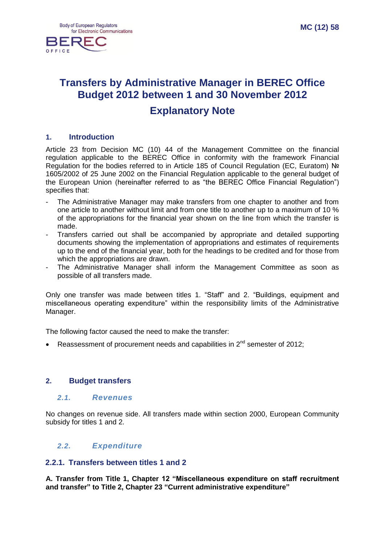

# **Transfers by Administrative Manager in BEREC Office Budget 2012 between 1 and 30 November 2012 Explanatory Note**

### **1. Introduction**

Article 23 from Decision MC (10) 44 of the Management Committee on the financial regulation applicable to the BEREC Office in conformity with the framework Financial Regulation for the bodies referred to in Article 185 of Council Regulation (EC, Euratom) No 1605/2002 of 25 June 2002 on the Financial Regulation applicable to the general budget of the European Union (hereinafter referred to as "the BEREC Office Financial Regulation") specifies that:

- The Administrative Manager may make transfers from one chapter to another and from one article to another without limit and from one title to another up to a maximum of 10 % of the appropriations for the financial year shown on the line from which the transfer is made.
- Transfers carried out shall be accompanied by appropriate and detailed supporting documents showing the implementation of appropriations and estimates of requirements up to the end of the financial year, both for the headings to be credited and for those from which the appropriations are drawn.
- The Administrative Manager shall inform the Management Committee as soon as possible of all transfers made.

Only one transfer was made between titles 1. "Staff" and 2. "Buildings, equipment and miscellaneous operating expenditure" within the responsibility limits of the Administrative Manager.

The following factor caused the need to make the transfer:

Reassessment of procurement needs and capabilities in  $2^{nd}$  semester of 2012;

### **2. Budget transfers**

#### *2.1. Revenues*

No changes on revenue side. All transfers made within section 2000, European Community subsidy for titles 1 and 2.

### *2.2. Expenditure*

### **2.2.1. Transfers between titles 1 and 2**

**A. Transfer from Title 1, Chapter 12 "Miscellaneous expenditure on staff recruitment and transfer" to Title 2, Chapter 23 "Current administrative expenditure"**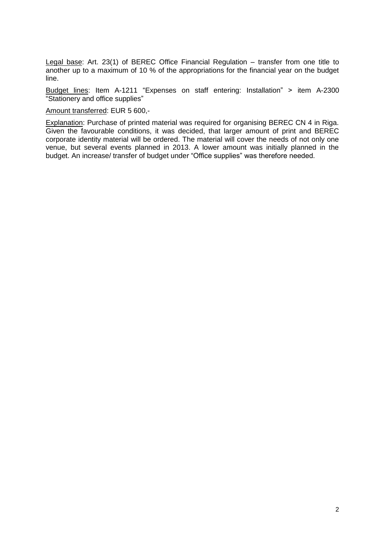Legal base: Art. 23(1) of BEREC Office Financial Regulation – transfer from one title to another up to a maximum of 10 % of the appropriations for the financial year on the budget line.

Budget lines: Item A-1211 "Expenses on staff entering: Installation" > item A-2300 "Stationery and office supplies"

Amount transferred: EUR 5 600,-

Explanation: Purchase of printed material was required for organising BEREC CN 4 in Riga. Given the favourable conditions, it was decided, that larger amount of print and BEREC corporate identity material will be ordered. The material will cover the needs of not only one venue, but several events planned in 2013. A lower amount was initially planned in the budget. An increase/ transfer of budget under "Office supplies" was therefore needed.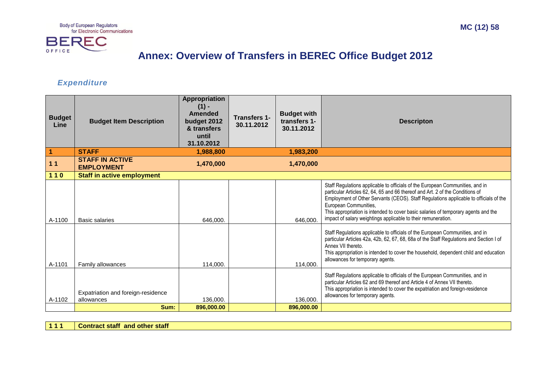Body of European Regulators<br>for Electronic Communications



## **Annex: Overview of Transfers in BEREC Office Budget 2012**

### *Expenditure*

| <b>Budget</b><br>Line | <b>Budget Item Description</b>                   | <b>Appropriation</b><br>$(1) -$<br><b>Amended</b><br>budget 2012<br>& transfers<br>until<br>31.10.2012 | <b>Transfers 1-</b><br>30.11.2012 | <b>Budget with</b><br>transfers 1-<br>30.11.2012 | <b>Descripton</b>                                                                                                                                                                                                                                                                                                                                                                                                                       |
|-----------------------|--------------------------------------------------|--------------------------------------------------------------------------------------------------------|-----------------------------------|--------------------------------------------------|-----------------------------------------------------------------------------------------------------------------------------------------------------------------------------------------------------------------------------------------------------------------------------------------------------------------------------------------------------------------------------------------------------------------------------------------|
| 1                     | <b>STAFF</b>                                     | 1,988,800                                                                                              |                                   | 1,983,200                                        |                                                                                                                                                                                                                                                                                                                                                                                                                                         |
| 11                    | <b>STAFF IN ACTIVE</b><br><b>EMPLOYMENT</b>      | 1,470,000                                                                                              |                                   | 1,470,000                                        |                                                                                                                                                                                                                                                                                                                                                                                                                                         |
| $110$                 | <b>Staff in active employment</b>                |                                                                                                        |                                   |                                                  |                                                                                                                                                                                                                                                                                                                                                                                                                                         |
| A-1100                | <b>Basic salaries</b>                            | 646.000.                                                                                               |                                   | 646.000.                                         | Staff Regulations applicable to officials of the European Communities, and in<br>particular Articles 62, 64, 65 and 66 thereof and Art. 2 of the Conditions of<br>Employment of Other Servants (CEOS). Staff Regulations applicable to officials of the<br>European Communities,<br>This appropriation is intended to cover basic salaries of temporary agents and the<br>impact of salary weightings applicable to their remuneration. |
| A-1101                | Family allowances                                | 114.000.                                                                                               |                                   | 114,000.                                         | Staff Regulations applicable to officials of the European Communities, and in<br>particular Articles 42a, 42b, 62, 67, 68, 68a of the Staff Regulations and Section I of<br>Annex VII thereto.<br>This appropriation is intended to cover the household, dependent child and education<br>allowances for temporary agents.                                                                                                              |
| A-1102                | Expatriation and foreign-residence<br>allowances | 136.000.                                                                                               |                                   | 136,000.                                         | Staff Regulations applicable to officials of the European Communities, and in<br>particular Articles 62 and 69 thereof and Article 4 of Annex VII thereto.<br>This appropriation is intended to cover the expatriation and foreign-residence<br>allowances for temporary agents.                                                                                                                                                        |
|                       | Sum:                                             | 896,000.00                                                                                             |                                   | 896,000.00                                       |                                                                                                                                                                                                                                                                                                                                                                                                                                         |

**1 1 1 Contract staff and other staff**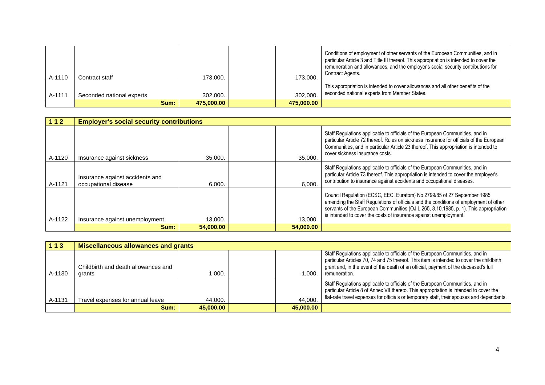| A-1110 | Contract staff            | 173,000.   | 173,000.   | Conditions of employment of other servants of the European Communities, and in<br>particular Article 3 and Title III thereof. This appropriation is intended to cover the<br>remuneration and allowances, and the employer's social security contributions for<br>Contract Agents. |
|--------|---------------------------|------------|------------|------------------------------------------------------------------------------------------------------------------------------------------------------------------------------------------------------------------------------------------------------------------------------------|
| A-1111 | Seconded national experts | 302.000.   | 302,000.   | This appropriation is intended to cover allowances and all other benefits of the<br>seconded national experts from Member States.                                                                                                                                                  |
|        | Sum:                      | 475.000.00 | 475,000,00 |                                                                                                                                                                                                                                                                                    |

| 112    | <b>Employer's social security contributions</b>         |           |           |                                                                                                                                                                                                                                                                                                                               |
|--------|---------------------------------------------------------|-----------|-----------|-------------------------------------------------------------------------------------------------------------------------------------------------------------------------------------------------------------------------------------------------------------------------------------------------------------------------------|
| A-1120 | Insurance against sickness                              | 35,000.   | 35,000.   | Staff Regulations applicable to officials of the European Communities, and in<br>particular Article 72 thereof. Rules on sickness insurance for officials of the European<br>Communities, and in particular Article 23 thereof. This appropriation is intended to<br>cover sickness insurance costs.                          |
| A-1121 | Insurance against accidents and<br>occupational disease | 6.000.    | 6.000.    | Staff Regulations applicable to officials of the European Communities, and in<br>particular Article 73 thereof. This appropriation is intended to cover the employer's<br>contribution to insurance against accidents and occupational diseases.                                                                              |
| A-1122 | Insurance against unemployment                          | 13.000.   | 13,000.   | Council Regulation (ECSC, EEC, Euratom) No 2799/85 of 27 September 1985<br>amending the Staff Regulations of officials and the conditions of employment of other<br>servants of the European Communities (OJ L 265, 8.10.1985, p. 1). This appropriation<br>is intended to cover the costs of insurance against unemployment. |
|        | Sum:                                                    | 54,000.00 | 54,000.00 |                                                                                                                                                                                                                                                                                                                               |

| $113$  | Miscellaneous allowances and grants |           |           |                                                                                                                                                                                                                                                                      |
|--------|-------------------------------------|-----------|-----------|----------------------------------------------------------------------------------------------------------------------------------------------------------------------------------------------------------------------------------------------------------------------|
|        | Childbirth and death allowances and |           |           | Staff Regulations applicable to officials of the European Communities, and in<br>particular Articles 70, 74 and 75 thereof. This item is intended to cover the childbirth<br>grant and, in the event of the death of an official, payment of the deceased's full     |
| A-1130 | grants                              | 1.000.    | .000 ا    | remuneration.                                                                                                                                                                                                                                                        |
| A-1131 | Travel expenses for annual leave    | 44,000.   | 44.000.   | Staff Regulations applicable to officials of the European Communities, and in<br>particular Article 8 of Annex VII thereto. This appropriation is intended to cover the<br>flat-rate travel expenses for officials or temporary staff, their spouses and dependants. |
|        | Sum:                                | 45.000.00 | 45,000,00 |                                                                                                                                                                                                                                                                      |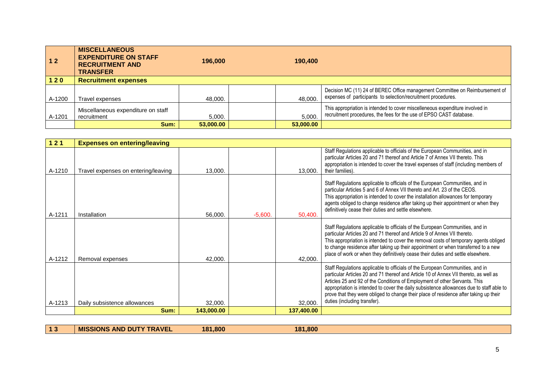| 12     | <b>MISCELLANEOUS</b><br><b>EXPENDITURE ON STAFF</b><br><b>RECRUITMENT AND</b><br><b>TRANSFER</b> | 196,000   | 190.400   |                                                                                                                                                      |
|--------|--------------------------------------------------------------------------------------------------|-----------|-----------|------------------------------------------------------------------------------------------------------------------------------------------------------|
| $120$  | <b>Recruitment expenses</b>                                                                      |           |           |                                                                                                                                                      |
| A-1200 | Travel expenses                                                                                  | 48.000.   | 48.000.   | Decision MC (11) 24 of BEREC Office management Committee on Reimbursement of<br>expenses of participants to selection/recruitment procedures.        |
| A-1201 | Miscellaneous expenditure on staff<br>recruitment                                                | 5.000.    | 5.000.    | This appropriation is intended to cover miscelleneous expenditure involved in<br>recruitment procedures, the fees for the use of EPSO CAST database. |
|        | Sum:                                                                                             | 53,000,00 | 53,000.00 |                                                                                                                                                      |

| 121    | <b>Expenses on entering/leaving</b> |            |           |            |                                                                                                                                                                                                                                                                                                                                                                                                                                                                           |
|--------|-------------------------------------|------------|-----------|------------|---------------------------------------------------------------------------------------------------------------------------------------------------------------------------------------------------------------------------------------------------------------------------------------------------------------------------------------------------------------------------------------------------------------------------------------------------------------------------|
| A-1210 | Travel expenses on entering/leaving | 13,000.    |           | 13,000.    | Staff Regulations applicable to officials of the European Communities, and in<br>particular Articles 20 and 71 thereof and Article 7 of Annex VII thereto. This<br>appropriation is intended to cover the travel expenses of staff (including members of<br>their families).                                                                                                                                                                                              |
| A-1211 | Installation                        | 56,000.    | $-5,600.$ | 50,400.    | Staff Regulations applicable to officials of the European Communities, and in<br>particular Articles 5 and 6 of Annex VII thereto and Art. 23 of the CEOS.<br>This appropriation is intended to cover the installation allowances for temporary<br>agents obliged to change residence after taking up their appointment or when they<br>definitively cease their duties and settle elsewhere.                                                                             |
| A-1212 | Removal expenses                    | 42,000.    |           | 42,000.    | Staff Regulations applicable to officials of the European Communities, and in<br>particular Articles 20 and 71 thereof and Article 9 of Annex VII thereto.<br>This appropriation is intended to cover the removal costs of temporary agents obliged<br>to change residence after taking up their appointment or when transferred to a new<br>place of work or when they definitively cease their duties and settle elsewhere.                                             |
| A-1213 | Daily subsistence allowances        | 32,000.    |           | 32,000.    | Staff Regulations applicable to officials of the European Communities, and in<br>particular Articles 20 and 71 thereof and Article 10 of Annex VII thereto, as well as<br>Articles 25 and 92 of the Conditions of Employment of other Servants. This<br>appropriation is intended to cover the daily subsistence allowances due to staff able to<br>prove that they were obliged to change their place of residence after taking up their<br>duties (including transfer). |
|        | Sum:                                | 143,000.00 |           | 137,400.00 |                                                                                                                                                                                                                                                                                                                                                                                                                                                                           |

**1 3 MISSIONS AND DUTY TRAVEL 181,800 181,800**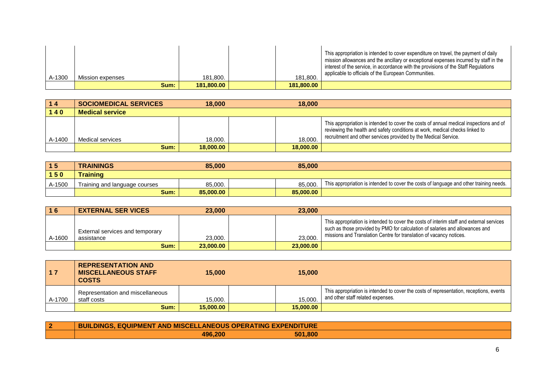| A-1300 | Mission expenses | 181.800.   | 181.800.   | This appropriation is intended to cover expenditure on travel, the payment of daily<br>mission allowances and the ancillary or exceptional expenses incurred by staff in the<br>interest of the service, in accordance with the provisions of the Staff Regulations<br>applicable to officials of the European Communities. |
|--------|------------------|------------|------------|-----------------------------------------------------------------------------------------------------------------------------------------------------------------------------------------------------------------------------------------------------------------------------------------------------------------------------|
|        | Sum:             | 181.800.00 | 181.800.00 |                                                                                                                                                                                                                                                                                                                             |

| 14     | <b>SOCIOMEDICAL SERVICES</b> | 18,000    | 18,000    |                                                                                                                                                                                                                                           |
|--------|------------------------------|-----------|-----------|-------------------------------------------------------------------------------------------------------------------------------------------------------------------------------------------------------------------------------------------|
| 140    | <b>Medical service</b>       |           |           |                                                                                                                                                                                                                                           |
| A-1400 | Medical services             | 18,000.   | 18.000.   | This appropriation is intended to cover the costs of annual medical inspections and of<br>reviewing the health and safety conditions at work, medical checks linked to<br>recruitment and other services provided by the Medical Service. |
|        | Sum:                         | 18,000,00 | 18,000,00 |                                                                                                                                                                                                                                           |

| 15     | <b>TRAININGS</b>              | 85,000    | 85,000    |                                                                                         |
|--------|-------------------------------|-----------|-----------|-----------------------------------------------------------------------------------------|
| $150$  | Training                      |           |           |                                                                                         |
| A-1500 | Training and language courses | 85.000.   | 85.000.   | This appropriation is intended to cover the costs of language and other training needs. |
|        | Sum:                          | 85,000.00 | 85,000.00 |                                                                                         |

| 16     | <b>EXTERNAL SER VICES</b>                     | 23,000    | 23,000    |                                                                                                                                                                                                                                                 |
|--------|-----------------------------------------------|-----------|-----------|-------------------------------------------------------------------------------------------------------------------------------------------------------------------------------------------------------------------------------------------------|
| A-1600 | External services and temporary<br>assistance | 23,000.   | 23,000    | This appropriation is intended to cover the costs of interim staff and external services<br>such as those provided by PMO for calculation of salaries and allowances and<br>missions and Translation Centre for translation of vacancy notices. |
|        | Sum:                                          | 23,000,00 | 23,000.00 |                                                                                                                                                                                                                                                 |

| 17     | <b>REPRESENTATION AND</b><br><b>MISCELLANEOUS STAFF</b><br><b>COSTS</b> | 15,000    | 15,000    |                                                                                                                              |
|--------|-------------------------------------------------------------------------|-----------|-----------|------------------------------------------------------------------------------------------------------------------------------|
| A-1700 | Representation and miscellaneous<br>staff costs                         | 15,000.   | 15.000.   | This appropriation is intended to cover the costs of representation, receptions, events<br>and other staff related expenses. |
|        | Sum:                                                                    | 15,000,00 | 15,000,00 |                                                                                                                              |

| <b>BUILDINGS, EQUIPMENT AND MISCELLANEOUS OPERATING EXPENDITURE</b> |         |  |
|---------------------------------------------------------------------|---------|--|
| 496.200                                                             | 501,800 |  |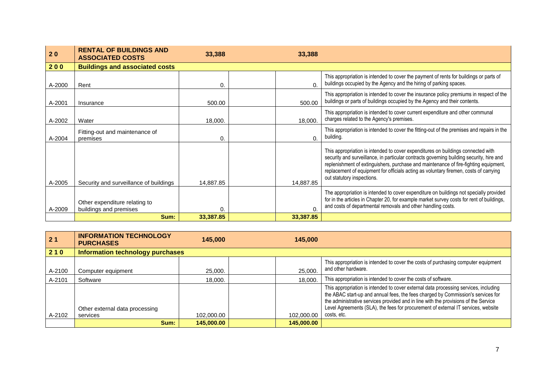| 20     | <b>RENTAL OF BUILDINGS AND</b><br><b>ASSOCIATED COSTS</b> | 33,388    | 33,388     |                                                                                                                                                                                                                                                                                                                                                                                             |
|--------|-----------------------------------------------------------|-----------|------------|---------------------------------------------------------------------------------------------------------------------------------------------------------------------------------------------------------------------------------------------------------------------------------------------------------------------------------------------------------------------------------------------|
| 200    | <b>Buildings and associated costs</b>                     |           |            |                                                                                                                                                                                                                                                                                                                                                                                             |
| A-2000 | Rent                                                      | 0.        | $\Omega$   | This appropriation is intended to cover the payment of rents for buildings or parts of<br>buildings occupied by the Agency and the hiring of parking spaces.                                                                                                                                                                                                                                |
| A-2001 | Insurance                                                 | 500.00    | 500.00     | This appropriation is intended to cover the insurance policy premiums in respect of the<br>buildings or parts of buildings occupied by the Agency and their contents.                                                                                                                                                                                                                       |
| A-2002 | Water                                                     | 18,000.   | 18,000.    | This appropriation is intended to cover current expenditure and other communal<br>charges related to the Agency's premises.                                                                                                                                                                                                                                                                 |
| A-2004 | Fitting-out and maintenance of<br>premises                | 0.        | $\Omega$ . | This appropriation is intended to cover the fitting-out of the premises and repairs in the<br>building.                                                                                                                                                                                                                                                                                     |
| A-2005 | Security and surveillance of buildings                    | 14,887.85 | 14,887.85  | This appropriation is intended to cover expenditures on buildings connected with<br>security and surveillance, in particular contracts governing building security, hire and<br>replenishment of extinguishers, purchase and maintenance of fire-fighting equipment,<br>replacement of equipment for officials acting as voluntary firemen, costs of carrying<br>out statutory inspections. |
| A-2009 | Other expenditure relating to<br>buildings and premises   | 0.        | 0.         | The appropriation is intended to cover expenditure on buildings not specially provided<br>for in the articles in Chapter 20, for example market survey costs for rent of buildings,<br>and costs of departmental removals and other handling costs.                                                                                                                                         |
|        | Sum:                                                      | 33,387.85 | 33,387.85  |                                                                                                                                                                                                                                                                                                                                                                                             |

| 2 <sub>1</sub> | <b>INFORMATION TECHNOLOGY</b><br><b>PURCHASES</b> | 145,000    | 145,000    |                                                                                                                                                                                                                                                                                                                                                                     |
|----------------|---------------------------------------------------|------------|------------|---------------------------------------------------------------------------------------------------------------------------------------------------------------------------------------------------------------------------------------------------------------------------------------------------------------------------------------------------------------------|
| 210            | Information technology purchases                  |            |            |                                                                                                                                                                                                                                                                                                                                                                     |
| A-2100         | Computer equipment                                | 25,000.    | 25,000.    | This appropriation is intended to cover the costs of purchasing computer equipment<br>and other hardware.                                                                                                                                                                                                                                                           |
| A-2101         | Software                                          | 18,000.    | 18.000.    | This appropriation is intended to cover the costs of software.                                                                                                                                                                                                                                                                                                      |
|                | Other external data processing                    |            |            | This appropriation is intended to cover external data processing services, including<br>the ABAC start-up and annual fees, the fees charged by Commission's services for<br>the administrative services provided and in line with the provisions of the Service<br>Level Agreements (SLA), the fees for procurement of external IT services, website<br>costs, etc. |
| A-2102         | services                                          | 102,000.00 | 102,000.00 |                                                                                                                                                                                                                                                                                                                                                                     |
|                | Sum:                                              | 145,000.00 | 145,000.00 |                                                                                                                                                                                                                                                                                                                                                                     |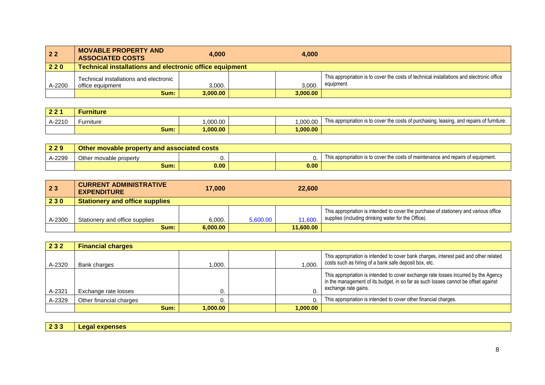| $22$   | <b>MOVABLE PROPERTY AND</b><br><b>ASSOCIATED COSTS</b>         | 4.000    |  | 4.000    |                                                                                                         |  |  |
|--------|----------------------------------------------------------------|----------|--|----------|---------------------------------------------------------------------------------------------------------|--|--|
| 220    | <b>Technical installations and electronic office equipment</b> |          |  |          |                                                                                                         |  |  |
| A-2200 | Technical installations and electronic<br>office equipment     | 3.000.   |  | 3.000.   | This appropriation is to cover the costs of technical installations and electronic office<br>equipment. |  |  |
|        | Sum:                                                           | 3.000.00 |  | 3,000.00 |                                                                                                         |  |  |

| 221<br>. . | ·urniture |         |         |                                                                                            |
|------------|-----------|---------|---------|--------------------------------------------------------------------------------------------|
| A-2210     | -urniture | ,000.00 | ,000.00 | This appropriation is to cover the costs of purchasing, leasing, and repairs of furniture. |
|            | Sum: .    | ,000.00 | ,000.00 |                                                                                            |

| 229              | Other movable property and associated costs |      |  |      |                                                                                   |  |  |  |
|------------------|---------------------------------------------|------|--|------|-----------------------------------------------------------------------------------|--|--|--|
| $\lambda - 2299$ | Other movable property                      |      |  |      | This appropriation is to cover the costs of maintenance and repairs of equipment. |  |  |  |
|                  | Sum:                                        | 0.00 |  | 0.00 |                                                                                   |  |  |  |

| 23     | <b>CURRENT ADMINISTRATIVE</b><br><b>EXPENDITURE</b> | 17.000   |          | 22,600    |                                                                                                                                              |
|--------|-----------------------------------------------------|----------|----------|-----------|----------------------------------------------------------------------------------------------------------------------------------------------|
| 230    | <b>Stationery and office supplies</b>               |          |          |           |                                                                                                                                              |
| A-2300 | Stationery and office supplies                      | 6,000.   | 5,600.00 | 11,600.   | This appropriation is intended to cover the purchase of stationery and various office<br>supplies (including drinking water for the Office). |
|        | Sum:                                                | 6.000.00 |          | 11.600.00 |                                                                                                                                              |

| 232    | <b>Financial charges</b> |         |  |          |                                                                                                                                                                                                   |  |  |
|--------|--------------------------|---------|--|----------|---------------------------------------------------------------------------------------------------------------------------------------------------------------------------------------------------|--|--|
| A-2320 | Bank charges             | .000.   |  | .000.    | This appropriation is intended to cover bank charges, interest paid and other related<br>costs such as hiring of a bank safe deposit box, etc.                                                    |  |  |
| A-2321 | Exchange rate losses     |         |  |          | This appropriation is intended to cover exchange rate losses incurred by the Agency<br>in the management of its budget, in so far as such losses cannot be offset against<br>exchange rate gains. |  |  |
| A-2329 | Other financial charges  |         |  | 0.       | This appropriation is intended to cover other financial charges.                                                                                                                                  |  |  |
|        | Sum:                     | .000.00 |  | 1.000.00 |                                                                                                                                                                                                   |  |  |

|  | 233   Legal expenses |  |  |
|--|----------------------|--|--|
|  |                      |  |  |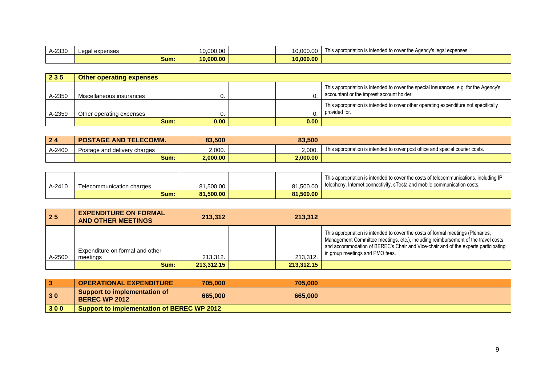| A-2330 | expenses<br><b>ANS</b><br>Lcua | 10.000.00 | 10.000.00 | This appropriation is intended to cover the Agency's legal expenses. |
|--------|--------------------------------|-----------|-----------|----------------------------------------------------------------------|
|        | Sum:                           | 0.000.00  | 10.000.00 |                                                                      |

| 235    | <b>Other operating expenses</b> |                   |  |      |                                                                                                                                    |  |  |
|--------|---------------------------------|-------------------|--|------|------------------------------------------------------------------------------------------------------------------------------------|--|--|
| A-2350 | Miscellaneous insurances        |                   |  |      | This appropriation is intended to cover the special insurances, e.g. for the Agency's<br>accountant or the imprest account holder. |  |  |
| A-2359 | Other operating expenses        |                   |  |      | This appropriation is intended to cover other operating expenditure not specifically<br>provided for.                              |  |  |
|        | Sum:                            | 0.00 <sub>1</sub> |  | 0.00 |                                                                                                                                    |  |  |

| 24     | <b>POSTAGE AND TELECOMM.</b> | 83,500   | 83,500   |                                                                                |
|--------|------------------------------|----------|----------|--------------------------------------------------------------------------------|
| A-2400 | Postage and delivery charges | 2,000.   | 2.000.   | This appropriation is intended to cover post office and special courier costs. |
|        | Sum:                         | 2,000.00 | 2,000.00 |                                                                                |

|        |                           |           |           | This appropriation is intended to cover the costs of telecommunications, including IP |
|--------|---------------------------|-----------|-----------|---------------------------------------------------------------------------------------|
| A-2410 | Telecommunication charges | .500.00،  | 81.500.00 | I telephony, Internet connectivity, sTesta and mobile communication costs.            |
|        | Sum:                      | 81.500.00 | 81.500.00 |                                                                                       |

| 25     | <b>EXPENDITURE ON FORMAL</b><br><b>AND OTHER MEETINGS</b> | 213.312    | 213.312    |                                                                                                                                                                                                                                                                                                |
|--------|-----------------------------------------------------------|------------|------------|------------------------------------------------------------------------------------------------------------------------------------------------------------------------------------------------------------------------------------------------------------------------------------------------|
| A-2500 | Expenditure on formal and other<br>meetings               | 213,312.   | 213,312.   | This appropriation is intended to cover the costs of formal meetings (Plenaries,<br>Management Committee meetings, etc.), including reimbursement of the travel costs<br>and accommodation of BEREC's Chair and Vice-chair and of the experts participating<br>in group meetings and PMO fees. |
|        | Sum:                                                      | 213,312.15 | 213,312.15 |                                                                                                                                                                                                                                                                                                |

|     | <b>OPERATIONAL EXPENDITURE</b>                       | 705.000 | 705.000 |  |  |
|-----|------------------------------------------------------|---------|---------|--|--|
| 30  | Support to implementation of<br><b>BEREC WP 2012</b> | 665,000 | 665,000 |  |  |
| 300 | Support to implementation of BEREC WP 2012           |         |         |  |  |